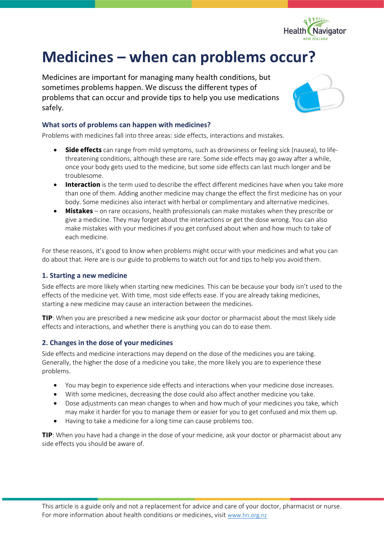

# **Medicines – when can problems occur?**

Medicines are important for managing many health conditions, but sometimes problems happen. We discuss the different types of problems that can occur and provide tips to help you use medications safely.



## **What sorts of problems can happen with medicines?**

Problems with medicines fall into three areas: side effects, interactions and mistakes.

- **Side effects** can range from mild symptoms, such as drowsiness or feeling sick (nausea), to lifethreatening conditions, although these are rare. Some side effects may go away after a while, once your body gets used to the medicine, but some side effects can last much longer and be troublesome.
- **Interaction** is the term used to describe the effect different medicines have when you take more than one of them. Adding another medicine may change the effect the first medicine has on your body. Some medicines also interact with herbal or complimentary and alternative medicines.
- **Mistakes** on rare occasions, health professionals can make mistakes when they prescribe or give a medicine. They may forget about the interactions or get the dose wrong. You can also make mistakes with your medicines if you get confused about when and how much to take of each medicine.

For these reasons, it's good to know when problems might occur with your medicines and what you can do about that. Here are is our guide to problems to watch out for and tips to help you avoid them.

## **1. Starting a new medicine**

Side effects are more likely when starting new medicines. This can be because your body isn't used to the effects of the medicine yet. With time, most side effects ease. If you are already taking medicines, starting a new medicine may cause an interaction between the medicines.

**TIP**: When you are prescribed a new medicine ask your doctor or pharmacist about the most likely side effects and interactions, and whether there is anything you can do to ease them.

# **2. Changes in the dose of your medicines**

Side effects and medicine interactions may depend on the dose of the medicines you are taking. Generally, the higher the dose of a medicine you take, the more likely you are to experience these problems.

- You may begin to experience side effects and interactions when your medicine dose increases.
- With some medicines, decreasing the dose could also affect another medicine you take.
- Dose adjustments can mean changes to when and how much of your medicines you take, which may make it harder for you to manage them or easier for you to get confused and mix them up.
- Having to take a medicine for a long time can cause problems too.

**TIP**: When you have had a change in the dose of your medicine, ask your doctor or pharmacist about any side effects you should be aware of.